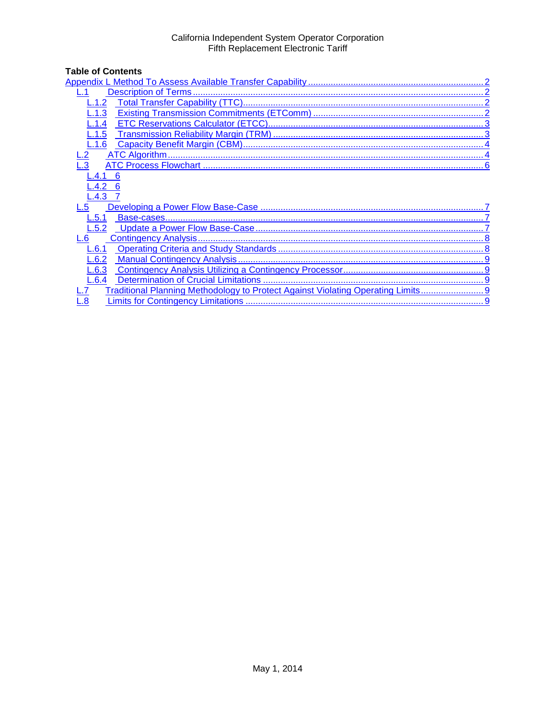# California Independent System Operator Corporation<br>Fifth Replacement Electronic Tariff

# **Table of Contents**

| 1.3                                                                            |
|--------------------------------------------------------------------------------|
| $-.1.4$                                                                        |
| $-.1.5$                                                                        |
| L.1.6                                                                          |
|                                                                                |
|                                                                                |
| L.4.1<br>6                                                                     |
| L.4.2                                                                          |
| $-.4.3$                                                                        |
|                                                                                |
| L.5.1                                                                          |
| L.5.2                                                                          |
| 6                                                                              |
| L.6.1                                                                          |
| L.6.2                                                                          |
| L.6.3                                                                          |
| L.6.4                                                                          |
| Traditional Planning Methodology to Protect Against Violating Operating Limits |
| $\overline{\mathbf{8}}$                                                        |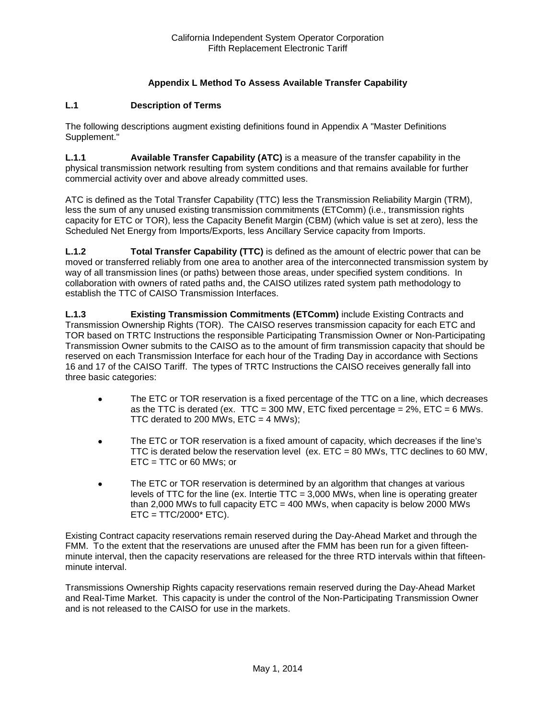# **Appendix L Method To Assess Available Transfer Capability**

#### <span id="page-1-1"></span><span id="page-1-0"></span>**L.1 Description of Terms**

The following descriptions augment existing definitions found in Appendix A "Master Definitions Supplement."

**L.1.1 Available Transfer Capability (ATC)** is a measure of the transfer capability in the physical transmission network resulting from system conditions and that remains available for further commercial activity over and above already committed uses.

ATC is defined as the Total Transfer Capability (TTC) less the Transmission Reliability Margin (TRM), less the sum of any unused existing transmission commitments (ETComm) (i.e., transmission rights capacity for ETC or TOR), less the Capacity Benefit Margin (CBM) (which value is set at zero), less the Scheduled Net Energy from Imports/Exports, less Ancillary Service capacity from Imports.

<span id="page-1-2"></span>**L.1.2 Total Transfer Capability (TTC)** is defined as the amount of electric power that can be moved or transferred reliably from one area to another area of the interconnected transmission system by way of all transmission lines (or paths) between those areas, under specified system conditions. In collaboration with owners of rated paths and, the CAISO utilizes rated system path methodology to establish the TTC of CAISO Transmission Interfaces.

<span id="page-1-3"></span>**L.1.3 Existing Transmission Commitments (ETComm)** include Existing Contracts and Transmission Ownership Rights (TOR). The CAISO reserves transmission capacity for each ETC and TOR based on TRTC Instructions the responsible Participating Transmission Owner or Non-Participating Transmission Owner submits to the CAISO as to the amount of firm transmission capacity that should be reserved on each Transmission Interface for each hour of the Trading Day in accordance with Sections 16 and 17 of the CAISO Tariff. The types of TRTC Instructions the CAISO receives generally fall into three basic categories:

- The ETC or TOR reservation is a fixed percentage of the TTC on a line, which decreases as the TTC is derated (ex. TTC = 300 MW, ETC fixed percentage =  $2\%$ , ETC = 6 MWs. TTC derated to 200 MWs,  $ETC = 4$  MWs);
- The ETC or TOR reservation is a fixed amount of capacity, which decreases if the line's TTC is derated below the reservation level (ex. ETC = 80 MWs, TTC declines to 60 MW,  $ETC = TTC$  or 60 MWs; or
- The ETC or TOR reservation is determined by an algorithm that changes at various levels of TTC for the line (ex. Intertie TTC =  $3,000$  MWs, when line is operating greater than 2,000 MWs to full capacity  $ETC = 400$  MWs, when capacity is below 2000 MWs  $ETC = TTC/2000* ETC$ ).

Existing Contract capacity reservations remain reserved during the Day-Ahead Market and through the FMM. To the extent that the reservations are unused after the FMM has been run for a given fifteenminute interval, then the capacity reservations are released for the three RTD intervals within that fifteenminute interval.

Transmissions Ownership Rights capacity reservations remain reserved during the Day-Ahead Market and Real-Time Market. This capacity is under the control of the Non-Participating Transmission Owner and is not released to the CAISO for use in the markets.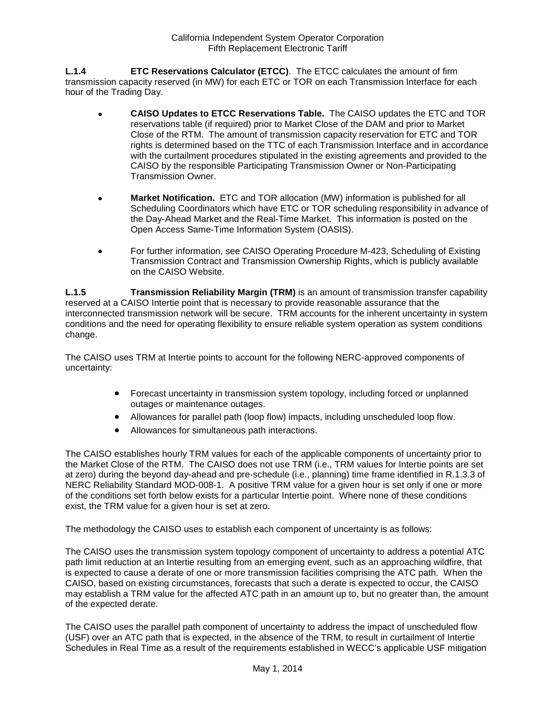<span id="page-2-0"></span>**L.1.4 ETC Reservations Calculator (ETCC)**. The ETCC calculates the amount of firm transmission capacity reserved (in MW) for each ETC or TOR on each Transmission Interface for each hour of the Trading Day.

- **CAISO Updates to ETCC Reservations Table.** The CAISO updates the ETC and TOR reservations table (if required) prior to Market Close of the DAM and prior to Market Close of the RTM. The amount of transmission capacity reservation for ETC and TOR rights is determined based on the TTC of each Transmission Interface and in accordance with the curtailment procedures stipulated in the existing agreements and provided to the CAISO by the responsible Participating Transmission Owner or Non-Participating Transmission Owner.
- **Market Notification.** ETC and TOR allocation (MW) information is published for all Scheduling Coordinators which have ETC or TOR scheduling responsibility in advance of the Day-Ahead Market and the Real-Time Market. This information is posted on the Open Access Same-Time Information System (OASIS).
- For further information, see CAISO Operating Procedure M-423, Scheduling of Existing Transmission Contract and Transmission Ownership Rights, which is publicly available on the CAISO Website.

<span id="page-2-1"></span>**L.1.5 Transmission Reliability Margin (TRM)** is an amount of transmission transfer capability reserved at a CAISO Intertie point that is necessary to provide reasonable assurance that the interconnected transmission network will be secure. TRM accounts for the inherent uncertainty in system conditions and the need for operating flexibility to ensure reliable system operation as system conditions change.

The CAISO uses TRM at Intertie points to account for the following NERC-approved components of uncertainty:

- Forecast uncertainty in transmission system topology, including forced or unplanned outages or maintenance outages.
- Allowances for parallel path (loop flow) impacts, including unscheduled loop flow.
- Allowances for simultaneous path interactions.

The CAISO establishes hourly TRM values for each of the applicable components of uncertainty prior to the Market Close of the RTM. The CAISO does not use TRM (i.e., TRM values for Intertie points are set at zero) during the beyond day-ahead and pre-schedule (i.e., planning) time frame identified in R.1.3.3 of NERC Reliability Standard MOD-008-1. A positive TRM value for a given hour is set only if one or more of the conditions set forth below exists for a particular Intertie point. Where none of these conditions exist, the TRM value for a given hour is set at zero.

The methodology the CAISO uses to establish each component of uncertainty is as follows:

The CAISO uses the transmission system topology component of uncertainty to address a potential ATC path limit reduction at an Intertie resulting from an emerging event, such as an approaching wildfire, that is expected to cause a derate of one or more transmission facilities comprising the ATC path. When the CAISO, based on existing circumstances, forecasts that such a derate is expected to occur, the CAISO may establish a TRM value for the affected ATC path in an amount up to, but no greater than, the amount of the expected derate.

The CAISO uses the parallel path component of uncertainty to address the impact of unscheduled flow (USF) over an ATC path that is expected, in the absence of the TRM, to result in curtailment of Intertie Schedules in Real Time as a result of the requirements established in WECC's applicable USF mitigation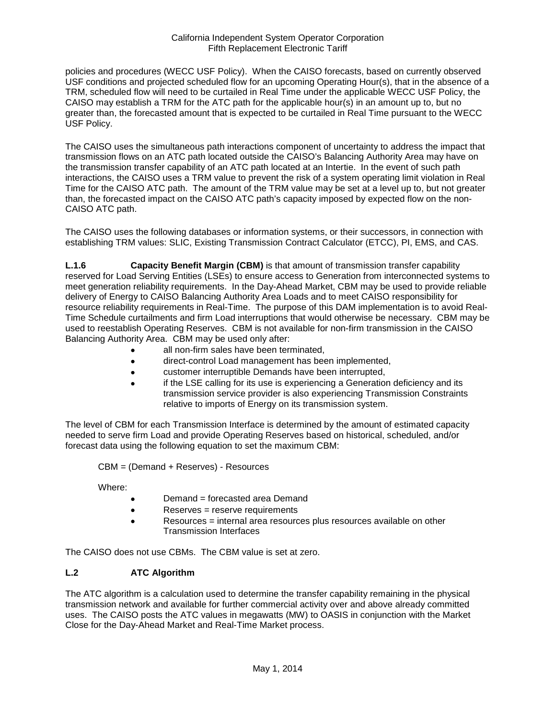#### California Independent System Operator Corporation Fifth Replacement Electronic Tariff

policies and procedures (WECC USF Policy). When the CAISO forecasts, based on currently observed USF conditions and projected scheduled flow for an upcoming Operating Hour(s), that in the absence of a TRM, scheduled flow will need to be curtailed in Real Time under the applicable WECC USF Policy, the CAISO may establish a TRM for the ATC path for the applicable hour(s) in an amount up to, but no greater than, the forecasted amount that is expected to be curtailed in Real Time pursuant to the WECC USF Policy.

The CAISO uses the simultaneous path interactions component of uncertainty to address the impact that transmission flows on an ATC path located outside the CAISO's Balancing Authority Area may have on the transmission transfer capability of an ATC path located at an Intertie. In the event of such path interactions, the CAISO uses a TRM value to prevent the risk of a system operating limit violation in Real Time for the CAISO ATC path. The amount of the TRM value may be set at a level up to, but not greater than, the forecasted impact on the CAISO ATC path's capacity imposed by expected flow on the non-CAISO ATC path.

The CAISO uses the following databases or information systems, or their successors, in connection with establishing TRM values: SLIC, Existing Transmission Contract Calculator (ETCC), PI, EMS, and CAS.

<span id="page-3-0"></span>**L.1.6 Capacity Benefit Margin (CBM)** is that amount of transmission transfer capability reserved for Load Serving Entities (LSEs) to ensure access to Generation from interconnected systems to meet generation reliability requirements. In the Day-Ahead Market, CBM may be used to provide reliable delivery of Energy to CAISO Balancing Authority Area Loads and to meet CAISO responsibility for resource reliability requirements in Real-Time. The purpose of this DAM implementation is to avoid Real-Time Schedule curtailments and firm Load interruptions that would otherwise be necessary. CBM may be used to reestablish Operating Reserves. CBM is not available for non-firm transmission in the CAISO Balancing Authority Area. CBM may be used only after:

- all non-firm sales have been terminated,
- direct-control Load management has been implemented,
- customer interruptible Demands have been interrupted,
- if the LSE calling for its use is experiencing a Generation deficiency and its transmission service provider is also experiencing Transmission Constraints relative to imports of Energy on its transmission system.

The level of CBM for each Transmission Interface is determined by the amount of estimated capacity needed to serve firm Load and provide Operating Reserves based on historical, scheduled, and/or forecast data using the following equation to set the maximum CBM:

CBM = (Demand + Reserves) - Resources

Where:

- Demand = forecasted area Demand
- Reserves = reserve requirements
- Resources = internal area resources plus resources available on other Transmission Interfaces

The CAISO does not use CBMs. The CBM value is set at zero.

# <span id="page-3-1"></span>**L.2 ATC Algorithm**

The ATC algorithm is a calculation used to determine the transfer capability remaining in the physical transmission network and available for further commercial activity over and above already committed uses. The CAISO posts the ATC values in megawatts (MW) to OASIS in conjunction with the Market Close for the Day-Ahead Market and Real-Time Market process.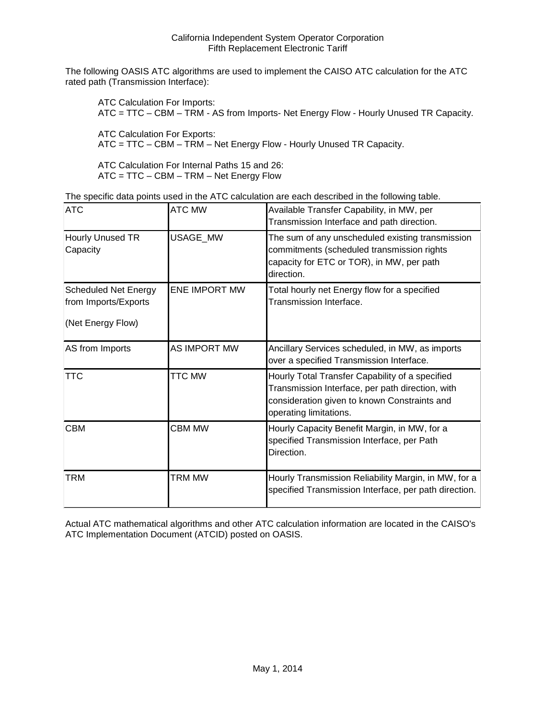The following OASIS ATC algorithms are used to implement the CAISO ATC calculation for the ATC rated path (Transmission Interface):

ATC Calculation For Imports: ATC = TTC – CBM – TRM - AS from Imports- Net Energy Flow - Hourly Unused TR Capacity.

ATC Calculation For Exports: ATC = TTC – CBM – TRM – Net Energy Flow - Hourly Unused TR Capacity.

ATC Calculation For Internal Paths 15 and 26: ATC = TTC – CBM – TRM – Net Energy Flow

|  |  | The specific data points used in the ATC calculation are each described in the following table. |
|--|--|-------------------------------------------------------------------------------------------------|
|--|--|-------------------------------------------------------------------------------------------------|

| <b>ATC</b>                                                               | <b>ATC MW</b>        | Available Transfer Capability, in MW, per<br>Transmission Interface and path direction.                                                                                       |
|--------------------------------------------------------------------------|----------------------|-------------------------------------------------------------------------------------------------------------------------------------------------------------------------------|
| Hourly Unused TR<br>Capacity                                             | USAGE_MW             | The sum of any unscheduled existing transmission<br>commitments (scheduled transmission rights<br>capacity for ETC or TOR), in MW, per path<br>direction.                     |
| <b>Scheduled Net Energy</b><br>from Imports/Exports<br>(Net Energy Flow) | <b>ENE IMPORT MW</b> | Total hourly net Energy flow for a specified<br>Transmission Interface.                                                                                                       |
| AS from Imports                                                          | <b>AS IMPORT MW</b>  | Ancillary Services scheduled, in MW, as imports<br>over a specified Transmission Interface.                                                                                   |
| <b>TTC</b>                                                               | <b>TTC MW</b>        | Hourly Total Transfer Capability of a specified<br>Transmission Interface, per path direction, with<br>consideration given to known Constraints and<br>operating limitations. |
| <b>CBM</b>                                                               | <b>CBM MW</b>        | Hourly Capacity Benefit Margin, in MW, for a<br>specified Transmission Interface, per Path<br>Direction.                                                                      |
| <b>TRM</b>                                                               | <b>TRM MW</b>        | Hourly Transmission Reliability Margin, in MW, for a<br>specified Transmission Interface, per path direction.                                                                 |

Actual ATC mathematical algorithms and other ATC calculation information are located in the CAISO's ATC Implementation Document (ATCID) posted on OASIS.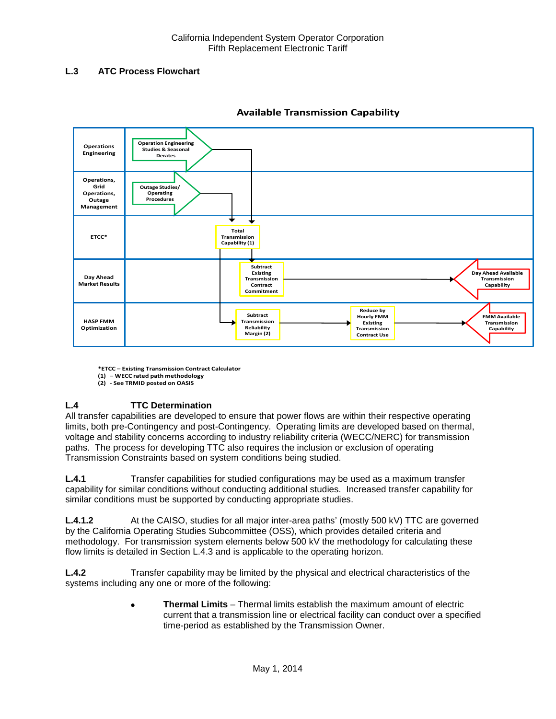# <span id="page-5-0"></span>**L.3 ATC Process Flowchart**



# **Available Transmission Capability**

**\*ETCC – Existing Transmission Contract Calculator (1) – WECC rated path methodology**

**(2) - See TRMID posted on OASIS**

# **L.4 TTC Determination**

All transfer capabilities are developed to ensure that power flows are within their respective operating limits, both pre-Contingency and post-Contingency. Operating limits are developed based on thermal, voltage and stability concerns according to industry reliability criteria (WECC/NERC) for transmission paths. The process for developing TTC also requires the inclusion or exclusion of operating Transmission Constraints based on system conditions being studied.

<span id="page-5-1"></span>**L.4.1** Transfer capabilities for studied configurations may be used as a maximum transfer capability for similar conditions without conducting additional studies. Increased transfer capability for similar conditions must be supported by conducting appropriate studies.

**L.4.1.2** At the CAISO, studies for all major inter-area paths' (mostly 500 kV) TTC are governed by the California Operating Studies Subcommittee (OSS), which provides detailed criteria and methodology. For transmission system elements below 500 kV the methodology for calculating these flow limits is detailed in Section L.4.3 and is applicable to the operating horizon.

<span id="page-5-2"></span>**L.4.2** Transfer capability may be limited by the physical and electrical characteristics of the systems including any one or more of the following:

> • **Thermal Limits** – Thermal limits establish the maximum amount of electric current that a transmission line or electrical facility can conduct over a specified time-period as established by the Transmission Owner.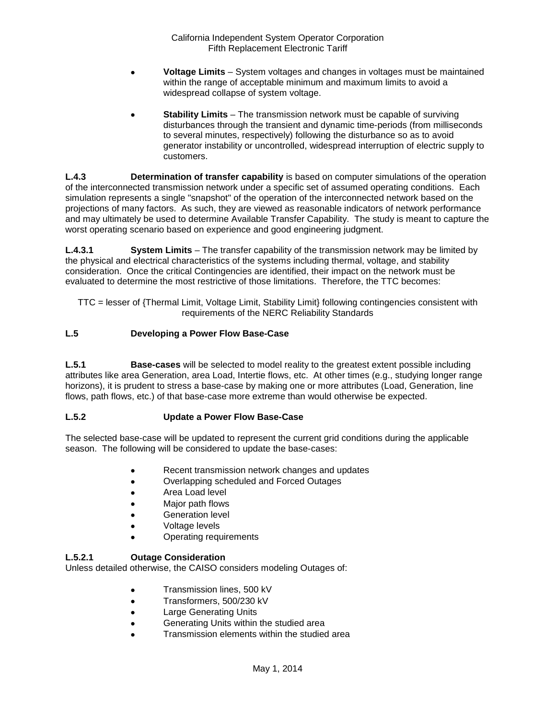- **Voltage Limits** System voltages and changes in voltages must be maintained within the range of acceptable minimum and maximum limits to avoid a widespread collapse of system voltage.
- **Stability Limits** The transmission network must be capable of surviving disturbances through the transient and dynamic time-periods (from milliseconds to several minutes, respectively) following the disturbance so as to avoid generator instability or uncontrolled, widespread interruption of electric supply to customers.

<span id="page-6-0"></span>**L.4.3 Determination of transfer capability** is based on computer simulations of the operation of the interconnected transmission network under a specific set of assumed operating conditions. Each simulation represents a single "snapshot" of the operation of the interconnected network based on the projections of many factors. As such, they are viewed as reasonable indicators of network performance and may ultimately be used to determine Available Transfer Capability. The study is meant to capture the worst operating scenario based on experience and good engineering judgment.

**L.4.3.1 System Limits** – The transfer capability of the transmission network may be limited by the physical and electrical characteristics of the systems including thermal, voltage, and stability consideration. Once the critical Contingencies are identified, their impact on the network must be evaluated to determine the most restrictive of those limitations. Therefore, the TTC becomes:

TTC = lesser of {Thermal Limit, Voltage Limit, Stability Limit} following contingencies consistent with requirements of the NERC Reliability Standards

# <span id="page-6-1"></span>**L.5 Developing a Power Flow Base-Case**

<span id="page-6-2"></span>**L.5.1 Base-cases** will be selected to model reality to the greatest extent possible including attributes like area Generation, area Load, Intertie flows, etc. At other times (e.g., studying longer range horizons), it is prudent to stress a base-case by making one or more attributes (Load, Generation, line flows, path flows, etc.) of that base-case more extreme than would otherwise be expected.

#### <span id="page-6-3"></span>**L.5.2 Update a Power Flow Base-Case**

The selected base-case will be updated to represent the current grid conditions during the applicable season. The following will be considered to update the base-cases:

- Recent transmission network changes and updates
- Overlapping scheduled and Forced Outages
- Area Load level
- Major path flows
- Generation level
- Voltage levels
- Operating requirements

#### **L.5.2.1 Outage Consideration**

Unless detailed otherwise, the CAISO considers modeling Outages of:

- Transmission lines, 500 kV
- Transformers, 500/230 kV
- Large Generating Units
- Generating Units within the studied area
- Transmission elements within the studied area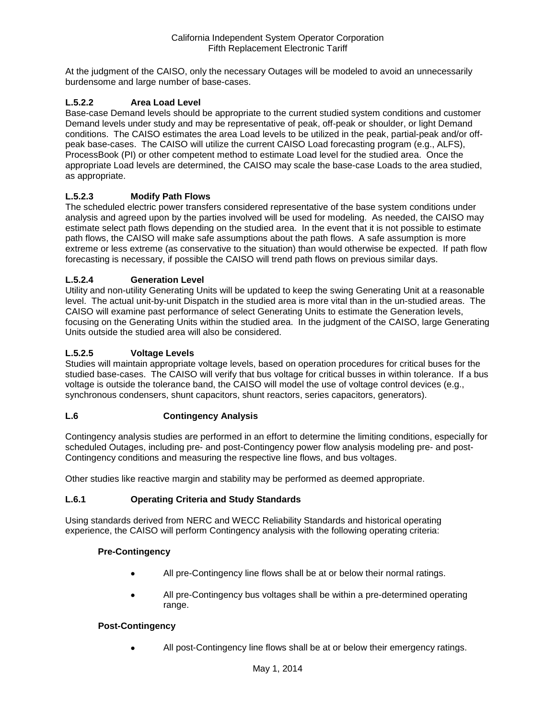At the judgment of the CAISO, only the necessary Outages will be modeled to avoid an unnecessarily burdensome and large number of base-cases.

# **L.5.2.2 Area Load Level**

Base-case Demand levels should be appropriate to the current studied system conditions and customer Demand levels under study and may be representative of peak, off-peak or shoulder, or light Demand conditions. The CAISO estimates the area Load levels to be utilized in the peak, partial-peak and/or offpeak base-cases. The CAISO will utilize the current CAISO Load forecasting program (e.g., ALFS), ProcessBook (PI) or other competent method to estimate Load level for the studied area. Once the appropriate Load levels are determined, the CAISO may scale the base-case Loads to the area studied, as appropriate.

#### **L.5.2.3 Modify Path Flows**

The scheduled electric power transfers considered representative of the base system conditions under analysis and agreed upon by the parties involved will be used for modeling. As needed, the CAISO may estimate select path flows depending on the studied area. In the event that it is not possible to estimate path flows, the CAISO will make safe assumptions about the path flows. A safe assumption is more extreme or less extreme (as conservative to the situation) than would otherwise be expected. If path flow forecasting is necessary, if possible the CAISO will trend path flows on previous similar days.

# **L.5.2.4 Generation Level**

Utility and non-utility Generating Units will be updated to keep the swing Generating Unit at a reasonable level. The actual unit-by-unit Dispatch in the studied area is more vital than in the un-studied areas. The CAISO will examine past performance of select Generating Units to estimate the Generation levels, focusing on the Generating Units within the studied area. In the judgment of the CAISO, large Generating Units outside the studied area will also be considered.

# **L.5.2.5 Voltage Levels**

Studies will maintain appropriate voltage levels, based on operation procedures for critical buses for the studied base-cases. The CAISO will verify that bus voltage for critical busses in within tolerance. If a bus voltage is outside the tolerance band, the CAISO will model the use of voltage control devices (e.g., synchronous condensers, shunt capacitors, shunt reactors, series capacitors, generators).

#### <span id="page-7-0"></span>**L.6 Contingency Analysis**

Contingency analysis studies are performed in an effort to determine the limiting conditions, especially for scheduled Outages, including pre- and post-Contingency power flow analysis modeling pre- and post-Contingency conditions and measuring the respective line flows, and bus voltages.

Other studies like reactive margin and stability may be performed as deemed appropriate.

#### <span id="page-7-1"></span>**L.6.1 Operating Criteria and Study Standards**

Using standards derived from NERC and WECC Reliability Standards and historical operating experience, the CAISO will perform Contingency analysis with the following operating criteria:

#### **Pre-Contingency**

- All pre-Contingency line flows shall be at or below their normal ratings.
- All pre-Contingency bus voltages shall be within a pre-determined operating range.

#### **Post-Contingency**

All post-Contingency line flows shall be at or below their emergency ratings.